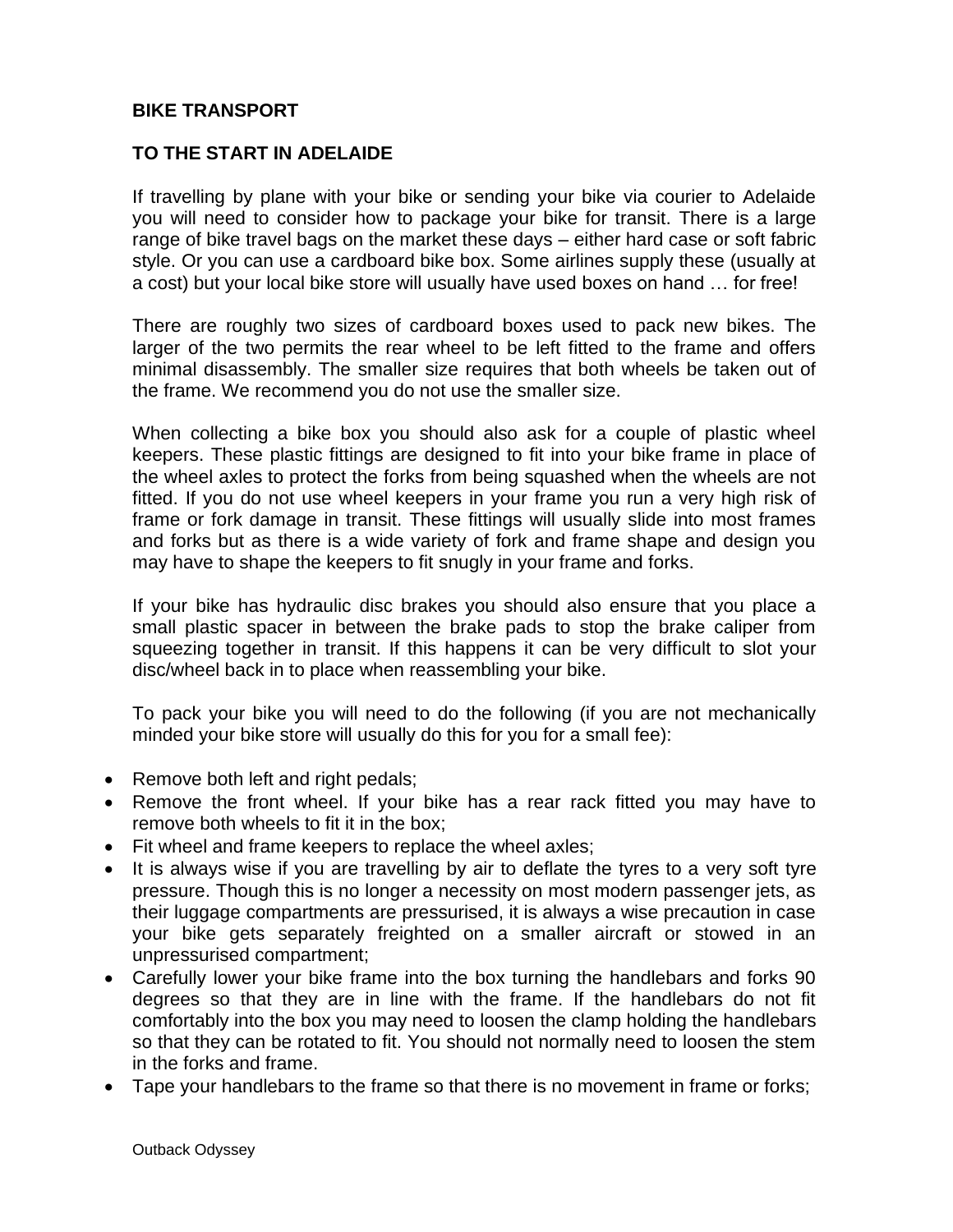## **BIKE TRANSPORT**

## **TO THE START IN ADELAIDE**

If travelling by plane with your bike or sending your bike via courier to Adelaide you will need to consider how to package your bike for transit. There is a large range of bike travel bags on the market these days – either hard case or soft fabric style. Or you can use a cardboard bike box. Some airlines supply these (usually at a cost) but your local bike store will usually have used boxes on hand … for free!

There are roughly two sizes of cardboard boxes used to pack new bikes. The larger of the two permits the rear wheel to be left fitted to the frame and offers minimal disassembly. The smaller size requires that both wheels be taken out of the frame. We recommend you do not use the smaller size.

When collecting a bike box you should also ask for a couple of plastic wheel keepers. These plastic fittings are designed to fit into your bike frame in place of the wheel axles to protect the forks from being squashed when the wheels are not fitted. If you do not use wheel keepers in your frame you run a very high risk of frame or fork damage in transit. These fittings will usually slide into most frames and forks but as there is a wide variety of fork and frame shape and design you may have to shape the keepers to fit snugly in your frame and forks.

If your bike has hydraulic disc brakes you should also ensure that you place a small plastic spacer in between the brake pads to stop the brake caliper from squeezing together in transit. If this happens it can be very difficult to slot your disc/wheel back in to place when reassembling your bike.

To pack your bike you will need to do the following (if you are not mechanically minded your bike store will usually do this for you for a small fee):

- Remove both left and right pedals;
- Remove the front wheel. If your bike has a rear rack fitted you may have to remove both wheels to fit it in the box;
- Fit wheel and frame keepers to replace the wheel axles;
- It is always wise if you are travelling by air to deflate the tyres to a very soft tyre pressure. Though this is no longer a necessity on most modern passenger jets, as their luggage compartments are pressurised, it is always a wise precaution in case your bike gets separately freighted on a smaller aircraft or stowed in an unpressurised compartment;
- Carefully lower your bike frame into the box turning the handlebars and forks 90 degrees so that they are in line with the frame. If the handlebars do not fit comfortably into the box you may need to loosen the clamp holding the handlebars so that they can be rotated to fit. You should not normally need to loosen the stem in the forks and frame.
- Tape your handlebars to the frame so that there is no movement in frame or forks;